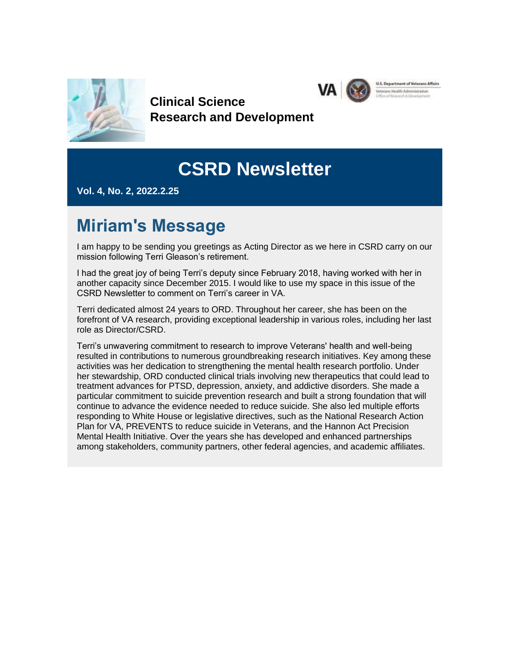

**Clinical Science Research and Development**

# **CSRD Newsletter**

**VA** 

Ins Health Administration

**Vol. 4, No. 2, 2022.2.25**

## **Miriam's Message**

I am happy to be sending you greetings as Acting Director as we here in CSRD carry on our mission following Terri Gleason's retirement.

I had the great joy of being Terri's deputy since February 2018, having worked with her in another capacity since December 2015. I would like to use my space in this issue of the CSRD Newsletter to comment on Terri's career in VA.

Terri dedicated almost 24 years to ORD. Throughout her career, she has been on the forefront of VA research, providing exceptional leadership in various roles, including her last role as Director/CSRD.

Terri's unwavering commitment to research to improve Veterans' health and well-being resulted in contributions to numerous groundbreaking research initiatives. Key among these activities was her dedication to strengthening the mental health research portfolio. Under her stewardship, ORD conducted clinical trials involving new therapeutics that could lead to treatment advances for PTSD, depression, anxiety, and addictive disorders. She made a particular commitment to suicide prevention research and built a strong foundation that will continue to advance the evidence needed to reduce suicide. She also led multiple efforts responding to White House or legislative directives, such as the National Research Action Plan for VA, PREVENTS to reduce suicide in Veterans, and the Hannon Act Precision Mental Health Initiative. Over the years she has developed and enhanced partnerships among stakeholders, community partners, other federal agencies, and academic affiliates.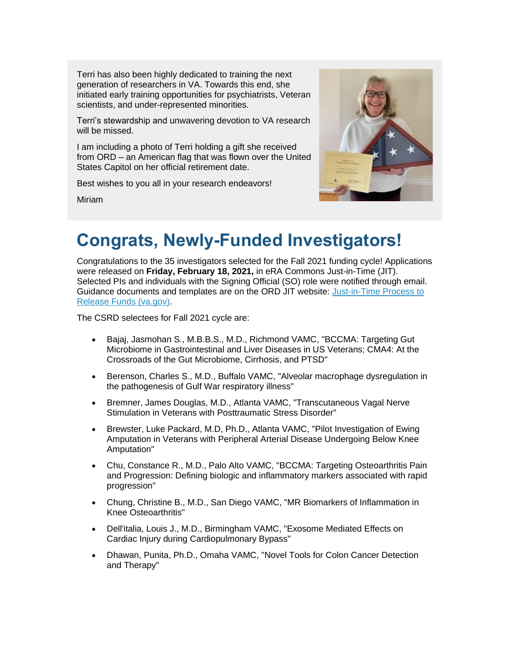Terri has also been highly dedicated to training the next generation of researchers in VA. Towards this end, she initiated early training opportunities for psychiatrists, Veteran scientists, and under-represented minorities.

Terri's stewardship and unwavering devotion to VA research will be missed.

I am including a photo of Terri holding a gift she received from ORD – an American flag that was flown over the United States Capitol on her official retirement date.

Best wishes to you all in your research endeavors!

Miriam



## **Congrats, Newly-Funded Investigators!**

Congratulations to the 35 investigators selected for the Fall 2021 funding cycle! Applications were released on **Friday, February 18, 2021,** in eRA Commons Just-in-Time (JIT). Selected PIs and individuals with the Signing Official (SO) role were notified through email. Guidance documents and templates are on the ORD JIT website: [Just-in-Time Process to](https://gcc02.safelinks.protection.outlook.com/?url=https%3A%2F%2Fwww.research.va.gov%2Ffunding%2Fjit.cfm&data=04%7C01%7C%7C332a4c8ea078441c6b4108d9faf57e5f%7Ce95f1b23abaf45ee821db7ab251ab3bf%7C0%7C0%7C637816754569025920%7CUnknown%7CTWFpbGZsb3d8eyJWIjoiMC4wLjAwMDAiLCJQIjoiV2luMzIiLCJBTiI6Ik1haWwiLCJXVCI6Mn0%3D%7C3000&sdata=RF304QDbTqSDGbyvw4d9dcicULjT0w%2BXJAiQnaSU1Rg%3D&reserved=0)  [Release Funds \(va.gov\).](https://gcc02.safelinks.protection.outlook.com/?url=https%3A%2F%2Fwww.research.va.gov%2Ffunding%2Fjit.cfm&data=04%7C01%7C%7C332a4c8ea078441c6b4108d9faf57e5f%7Ce95f1b23abaf45ee821db7ab251ab3bf%7C0%7C0%7C637816754569025920%7CUnknown%7CTWFpbGZsb3d8eyJWIjoiMC4wLjAwMDAiLCJQIjoiV2luMzIiLCJBTiI6Ik1haWwiLCJXVCI6Mn0%3D%7C3000&sdata=RF304QDbTqSDGbyvw4d9dcicULjT0w%2BXJAiQnaSU1Rg%3D&reserved=0)

The CSRD selectees for Fall 2021 cycle are:

- Bajaj, Jasmohan S., M.B.B.S., M.D., Richmond VAMC, "BCCMA: Targeting Gut Microbiome in Gastrointestinal and Liver Diseases in US Veterans; CMA4: At the Crossroads of the Gut Microbiome, Cirrhosis, and PTSD"
- Berenson, Charles S., M.D., Buffalo VAMC, "Alveolar macrophage dysregulation in the pathogenesis of Gulf War respiratory illness"
- Bremner, James Douglas, M.D., Atlanta VAMC, "Transcutaneous Vagal Nerve Stimulation in Veterans with Posttraumatic Stress Disorder"
- Brewster, Luke Packard, M.D, Ph.D., Atlanta VAMC, "Pilot Investigation of Ewing Amputation in Veterans with Peripheral Arterial Disease Undergoing Below Knee Amputation"
- Chu, Constance R., M.D., Palo Alto VAMC, "BCCMA: Targeting Osteoarthritis Pain and Progression: Defining biologic and inflammatory markers associated with rapid progression"
- Chung, Christine B., M.D., San Diego VAMC, "MR Biomarkers of Inflammation in Knee Osteoarthritis"
- Dell'italia, Louis J., M.D., Birmingham VAMC, "Exosome Mediated Effects on Cardiac Injury during Cardiopulmonary Bypass"
- Dhawan, Punita, Ph.D., Omaha VAMC, "Novel Tools for Colon Cancer Detection and Therapy"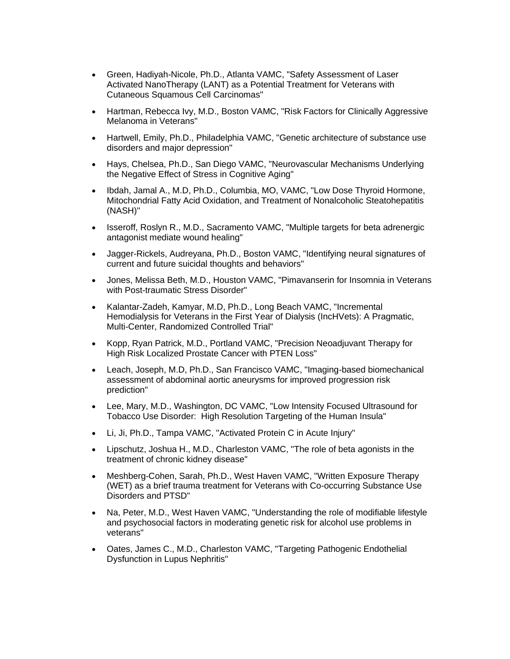- Green, Hadiyah-Nicole, Ph.D., Atlanta VAMC, "Safety Assessment of Laser Activated NanoTherapy (LANT) as a Potential Treatment for Veterans with Cutaneous Squamous Cell Carcinomas"
- Hartman, Rebecca Ivy, M.D., Boston VAMC, "Risk Factors for Clinically Aggressive Melanoma in Veterans"
- Hartwell, Emily, Ph.D., Philadelphia VAMC, "Genetic architecture of substance use disorders and major depression"
- Hays, Chelsea, Ph.D., San Diego VAMC, "Neurovascular Mechanisms Underlying the Negative Effect of Stress in Cognitive Aging"
- Ibdah, Jamal A., M.D, Ph.D., Columbia, MO, VAMC, "Low Dose Thyroid Hormone, Mitochondrial Fatty Acid Oxidation, and Treatment of Nonalcoholic Steatohepatitis (NASH)"
- Isseroff, Roslyn R., M.D., Sacramento VAMC, "Multiple targets for beta adrenergic antagonist mediate wound healing"
- Jagger-Rickels, Audreyana, Ph.D., Boston VAMC, "Identifying neural signatures of current and future suicidal thoughts and behaviors"
- Jones, Melissa Beth, M.D., Houston VAMC, "Pimavanserin for Insomnia in Veterans with Post-traumatic Stress Disorder"
- Kalantar-Zadeh, Kamyar, M.D, Ph.D., Long Beach VAMC, "Incremental Hemodialysis for Veterans in the First Year of Dialysis (IncHVets): A Pragmatic, Multi-Center, Randomized Controlled Trial"
- Kopp, Ryan Patrick, M.D., Portland VAMC, "Precision Neoadjuvant Therapy for High Risk Localized Prostate Cancer with PTEN Loss"
- Leach, Joseph, M.D, Ph.D., San Francisco VAMC, "Imaging-based biomechanical assessment of abdominal aortic aneurysms for improved progression risk prediction"
- Lee, Mary, M.D., Washington, DC VAMC, "Low Intensity Focused Ultrasound for Tobacco Use Disorder: High Resolution Targeting of the Human Insula"
- Li, Ji, Ph.D., Tampa VAMC, "Activated Protein C in Acute Injury"
- Lipschutz, Joshua H., M.D., Charleston VAMC, "The role of beta agonists in the treatment of chronic kidney disease"
- Meshberg-Cohen, Sarah, Ph.D., West Haven VAMC, "Written Exposure Therapy (WET) as a brief trauma treatment for Veterans with Co-occurring Substance Use Disorders and PTSD"
- Na, Peter, M.D., West Haven VAMC, "Understanding the role of modifiable lifestyle and psychosocial factors in moderating genetic risk for alcohol use problems in veterans"
- Oates, James C., M.D., Charleston VAMC, "Targeting Pathogenic Endothelial Dysfunction in Lupus Nephritis"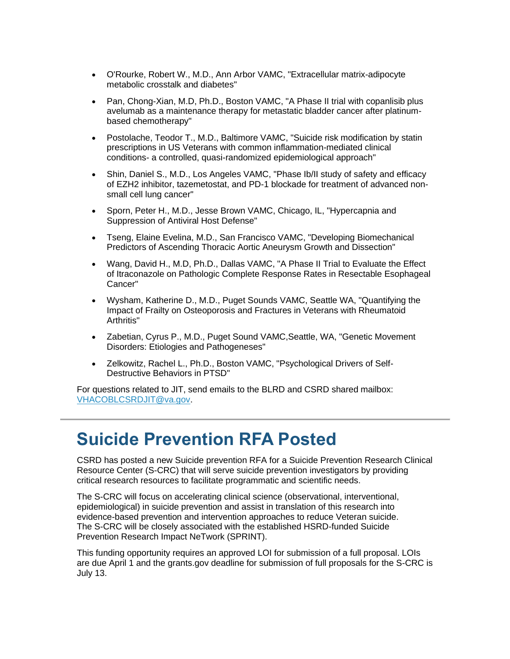- O'Rourke, Robert W., M.D., Ann Arbor VAMC, "Extracellular matrix-adipocyte metabolic crosstalk and diabetes"
- Pan, Chong-Xian, M.D, Ph.D., Boston VAMC, "A Phase II trial with copanlisib plus avelumab as a maintenance therapy for metastatic bladder cancer after platinumbased chemotherapy"
- Postolache, Teodor T., M.D., Baltimore VAMC, "Suicide risk modification by statin prescriptions in US Veterans with common inflammation-mediated clinical conditions- a controlled, quasi-randomized epidemiological approach"
- Shin, Daniel S., M.D., Los Angeles VAMC, "Phase Ib/II study of safety and efficacy of EZH2 inhibitor, tazemetostat, and PD-1 blockade for treatment of advanced nonsmall cell lung cancer"
- Sporn, Peter H., M.D., Jesse Brown VAMC, Chicago, IL, "Hypercapnia and Suppression of Antiviral Host Defense"
- Tseng, Elaine Evelina, M.D., San Francisco VAMC, "Developing Biomechanical Predictors of Ascending Thoracic Aortic Aneurysm Growth and Dissection"
- Wang, David H., M.D, Ph.D., Dallas VAMC, "A Phase II Trial to Evaluate the Effect of Itraconazole on Pathologic Complete Response Rates in Resectable Esophageal Cancer"
- Wysham, Katherine D., M.D., Puget Sounds VAMC, Seattle WA, "Quantifying the Impact of Frailty on Osteoporosis and Fractures in Veterans with Rheumatoid Arthritis"
- Zabetian, Cyrus P., M.D., Puget Sound VAMC,Seattle, WA, "Genetic Movement Disorders: Etiologies and Pathogeneses"
- Zelkowitz, Rachel L., Ph.D., Boston VAMC, "Psychological Drivers of Self-Destructive Behaviors in PTSD"

For questions related to JIT, send emails to the BLRD and CSRD shared mailbox: [VHACOBLCSRDJIT@va.gov.](mailto:VHACOBLCSRDJIT@va.gov)

#### **Suicide Prevention RFA Posted**

CSRD has posted a new Suicide prevention RFA for a Suicide Prevention Research Clinical Resource Center (S-CRC) that will serve suicide prevention investigators by providing critical research resources to facilitate programmatic and scientific needs.

The S-CRC will focus on accelerating clinical science (observational, interventional, epidemiological) in suicide prevention and assist in translation of this research into evidence-based prevention and intervention approaches to reduce Veteran suicide. The S-CRC will be closely associated with the established HSRD-funded Suicide Prevention Research Impact NeTwork (SPRINT).

This funding opportunity requires an approved LOI for submission of a full proposal. LOIs are due April 1 and the grants.gov deadline for submission of full proposals for the S-CRC is July 13.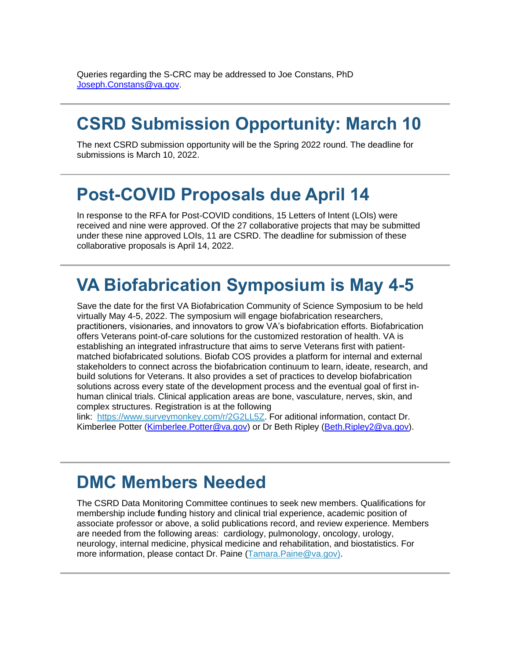Queries regarding the S-CRC may be addressed to Joe Constans, PhD [Joseph.Constans@va.gov.](mailto:Joseph.Constans@va.gov)

### **CSRD Submission Opportunity: March 10**

The next CSRD submission opportunity will be the Spring 2022 round. The deadline for submissions is March 10, 2022.

#### **Post-COVID Proposals due April 14**

In response to the RFA for Post-COVID conditions, 15 Letters of Intent (LOIs) were received and nine were approved. Of the 27 collaborative projects that may be submitted under these nine approved LOIs, 11 are CSRD. The deadline for submission of these collaborative proposals is April 14, 2022.

### **VA Biofabrication Symposium is May 4-5**

Save the date for the first VA Biofabrication Community of Science Symposium to be held virtually May 4-5, 2022. The symposium will engage biofabrication researchers, practitioners, visionaries, and innovators to grow VA's biofabrication efforts. Biofabrication offers Veterans point-of-care solutions for the customized restoration of health. VA is establishing an integrated infrastructure that aims to serve Veterans first with patientmatched biofabricated solutions. Biofab COS provides a platform for internal and external stakeholders to connect across the biofabrication continuum to learn, ideate, research, and build solutions for Veterans. It also provides a set of practices to develop biofabrication solutions across every state of the development process and the eventual goal of first inhuman clinical trials. Clinical application areas are bone, vasculature, nerves, skin, and complex structures. Registration is at the following

link: [https://www.surveymonkey.com/r/2G2LL5Z.](https://gcc02.safelinks.protection.outlook.com/?url=https%3A%2F%2Fwww.surgeymonkey.com%2Fr%2F2G2LL5Z&data=04%7C01%7C%7C332a4c8ea078441c6b4108d9faf57e5f%7Ce95f1b23abaf45ee821db7ab251ab3bf%7C0%7C0%7C637816754569025920%7CUnknown%7CTWFpbGZsb3d8eyJWIjoiMC4wLjAwMDAiLCJQIjoiV2luMzIiLCJBTiI6Ik1haWwiLCJXVCI6Mn0%3D%7C3000&sdata=hGs6TX240F8zy9cda%2FWG5TfG6C1o%2FOHbc8mzFU0hwtw%3D&reserved=0) For aditional information, contact Dr. Kimberlee Potter [\(Kimberlee.Potter@va.gov\)](mailto:Kimberlee.Potter@va.gov) or Dr Beth Ripley [\(Beth.Ripley2@va.gov\)](mailto:Beth.Ripley2@va.gov).

#### **DMC Members Needed**

The CSRD Data Monitoring Committee continues to seek new members. Qualifications for membership include **f**unding history and clinical trial experience, academic position of associate professor or above, a solid publications record, and review experience. Members are needed from the following areas: cardiology, pulmonology, oncology, urology, neurology, internal medicine, physical medicine and rehabilitation, and biostatistics. For more information, please contact Dr. Paine [\(Tamara.Paine@va.gov\).](mailto:Tamara.Paine@va.gov))